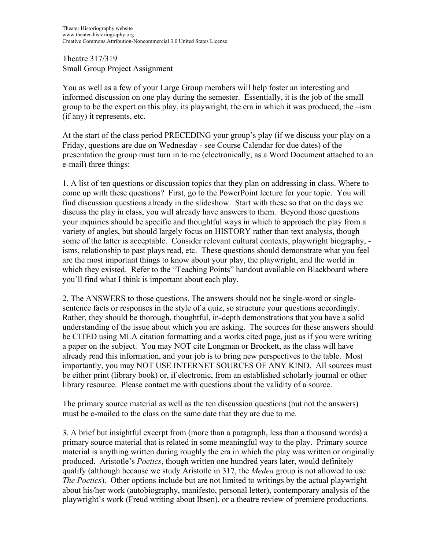Theatre 317/319 Small Group Project Assignment

You as well as a few of your Large Group members will help foster an interesting and informed discussion on one play during the semester. Essentially, it is the job of the small group to be the expert on this play, its playwright, the era in which it was produced, the –ism (if any) it represents, etc.

At the start of the class period PRECEDING your group's play (if we discuss your play on a Friday, questions are due on Wednesday - see Course Calendar for due dates) of the presentation the group must turn in to me (electronically, as a Word Document attached to an e-mail) three things:

1. A list of ten questions or discussion topics that they plan on addressing in class. Where to come up with these questions? First, go to the PowerPoint lecture for your topic. You will find discussion questions already in the slideshow. Start with these so that on the days we discuss the play in class, you will already have answers to them. Beyond those questions your inquiries should be specific and thoughtful ways in which to approach the play from a variety of angles, but should largely focus on HISTORY rather than text analysis, though some of the latter is acceptable. Consider relevant cultural contexts, playwright biography, isms, relationship to past plays read, etc. These questions should demonstrate what you feel are the most important things to know about your play, the playwright, and the world in which they existed. Refer to the "Teaching Points" handout available on Blackboard where you'll find what I think is important about each play.

2. The ANSWERS to those questions. The answers should not be single-word or singlesentence facts or responses in the style of a quiz, so structure your questions accordingly. Rather, they should be thorough, thoughtful, in-depth demonstrations that you have a solid understanding of the issue about which you are asking. The sources for these answers should be CITED using MLA citation formatting and a works cited page, just as if you were writing a paper on the subject. You may NOT cite Longman or Brockett, as the class will have already read this information, and your job is to bring new perspectives to the table. Most importantly, you may NOT USE INTERNET SOURCES OF ANY KIND. All sources must be either print (library book) or, if electronic, from an established scholarly journal or other library resource. Please contact me with questions about the validity of a source.

The primary source material as well as the ten discussion questions (but not the answers) must be e-mailed to the class on the same date that they are due to me.

3. A brief but insightful excerpt from (more than a paragraph, less than a thousand words) a primary source material that is related in some meaningful way to the play. Primary source material is anything written during roughly the era in which the play was written or originally produced. Aristotle's *Poetics*, though written one hundred years later, would definitely qualify (although because we study Aristotle in 317, the *Medea* group is not allowed to use *The Poetics*). Other options include but are not limited to writings by the actual playwright about his/her work (autobiography, manifesto, personal letter), contemporary analysis of the playwright's work (Freud writing about Ibsen), or a theatre review of premiere productions.